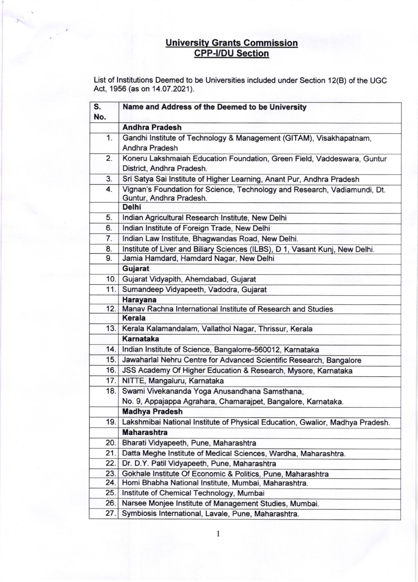## Universitv Grants Commission <u>CPP-I/DU Section</u>

List of lnstitutions Deemed to be Universities included under Section 12(B) of the UGC Act, 1956 (as on 14.07.2021).

| S.<br>No. | Name and Address of the Deemed to be University                                                      |
|-----------|------------------------------------------------------------------------------------------------------|
|           | <b>Andhra Pradesh</b>                                                                                |
| 1.        | Gandhi Institute of Technology & Management (GITAM), Visakhapatnam,<br>Andhra Pradesh                |
| 2.        | Koneru Lakshmaiah Education Foundation, Green Field, Vaddeswara, Guntur<br>District, Andhra Pradesh. |
| 3.        | Sri Satya Sai Institute of Higher Learning, Anant Pur, Andhra Pradesh                                |
| 4.        | Vignan's Foundation for Science, Technology and Research, Vadiamundi, Dt.<br>Guntur, Andhra Pradesh. |
|           | <b>Delhi</b>                                                                                         |
| 5.        | Indian Agricultural Research Institute, New Delhi                                                    |
| 6.        | Indian Institute of Foreign Trade, New Delhi                                                         |
| 7.        | Indian Law Institute, Bhagwandas Road, New Delhi.                                                    |
| 8.        | Institute of Liver and Biliary Sciences (ILBS), D 1, Vasant Kunj, New Delhi.                         |
| 9.        | Jamia Hamdard, Hamdard Nagar, New Delhi                                                              |
|           | Gujarat                                                                                              |
|           | 10. Gujarat Vidyapith, Ahemdabad, Gujarat                                                            |
| 11.       | Sumandeep Vidyapeeth, Vadodra, Gujarat                                                               |
|           | <b>Harayana</b>                                                                                      |
| 12.       | Manav Rachna International Institute of Research and Studies                                         |
|           | <b>Kerala</b>                                                                                        |
| 13.       | Kerala Kalamandalam, Vallathol Nagar, Thrissur, Kerala                                               |
|           | <b>Karnataka</b>                                                                                     |
| 14.       | Indian Institute of Science, Bangalorre-560012, Karnataka                                            |
| 15.       | Jawaharlal Nehru Centre for Advanced Scientific Research, Bangalore                                  |
| 16.       | JSS Academy Of Higher Education & Research, Mysore, Karnataka                                        |
|           | 17. NITTE, Mangaluru, Karnataka                                                                      |
|           | 18. Swami Vivekananda Yoga Anusandhana Samsthana,                                                    |
|           | No. 9, Appajappa Agrahara, Chamarajpet, Bangalore, Karnataka.                                        |
|           | <b>Madhya Pradesh</b>                                                                                |
| 19.       | Lakshmibai National Institute of Physical Education, Gwalior, Madhya Pradesh.                        |
|           | <b>Maharashtra</b>                                                                                   |
| 20.       | Bharati Vidyapeeth, Pune, Maharashtra                                                                |
| 21.       | Datta Meghe Institute of Medical Sciences, Wardha, Maharashtra.                                      |
| 22.       | Dr. D.Y. Patil Vidyapeeth, Pune, Maharashtra                                                         |
| 23.       | Gokhale Institute Of Economic & Politics, Pune, Maharashtra                                          |
| 24.       | Homi Bhabha National Institute, Mumbai, Maharashtra.                                                 |
| 25.       | Institute of Chemical Technology, Mumbai                                                             |
| 26.       | Narsee Monjee Institute of Management Studies, Mumbai.                                               |
| 27.       | Symbiosis International, Lavale, Pune, Maharashtra.                                                  |